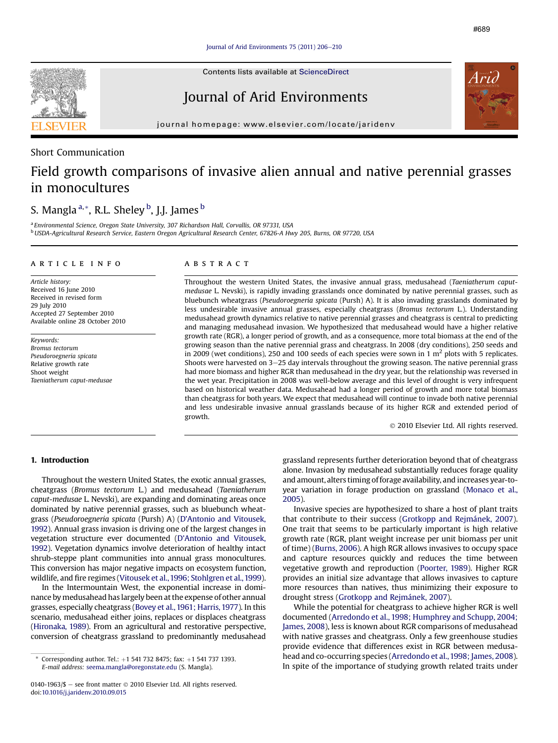Contents lists available at [ScienceDirect](www.sciencedirect.com/science/journal/01401963)

# Journal of Arid Environments

journal homepage: [www.elsevier.com/locate/jaridenv](http://www.elsevier.com/locate/jaridenv)

# Short Communication

# Field growth comparisons of invasive alien annual and native perennial grasses in monocultures

# S. Mangla <sup>a, \*</sup>, R.L. Sheley <sup>b</sup>, J.J. James <sup>b</sup>

<sup>a</sup> Environmental Science, Oregon State University, 307 Richardson Hall, Corvallis, OR 97331, USA <sup>b</sup> USDA-Agricultural Research Service, Eastern Oregon Agricultural Research Center, 67826-A Hwy 205, Burns, OR 97720, USA

## article info

Article history: Received 16 June 2010 Received in revised form 29 July 2010 Accepted 27 September 2010 Available online 28 October 2010

Keywords: Bromus tectorum Pseudoroegneria spicata Relative growth rate Shoot weight Taeniatherum caput-medusae

### ABSTRACT

Throughout the western United States, the invasive annual grass, medusahead (Taeniatherum caputmedusae L. Nevski), is rapidly invading grasslands once dominated by native perennial grasses, such as bluebunch wheatgrass (Pseudoroegneria spicata (Pursh) A). It is also invading grasslands dominated by less undesirable invasive annual grasses, especially cheatgrass (Bromus tectorum L.). Understanding medusahead growth dynamics relative to native perennial grasses and cheatgrass is central to predicting and managing medusahead invasion. We hypothesized that medusahead would have a higher relative growth rate (RGR), a longer period of growth, and as a consequence, more total biomass at the end of the growing season than the native perennial grass and cheatgrass. In 2008 (dry conditions), 250 seeds and in 2009 (wet conditions), 250 and 100 seeds of each species were sown in 1  $\text{m}^2$  plots with 5 replicates. Shoots were harvested on 3-25 day intervals throughout the growing season. The native perennial grass had more biomass and higher RGR than medusahead in the dry year, but the relationship was reversed in the wet year. Precipitation in 2008 was well-below average and this level of drought is very infrequent based on historical weather data. Medusahead had a longer period of growth and more total biomass than cheatgrass for both years. We expect that medusahead will continue to invade both native perennial and less undesirable invasive annual grasslands because of its higher RGR and extended period of growth.

2010 Elsevier Ltd. All rights reserved.

# 1. Introduction

Throughout the western United States, the exotic annual grasses, cheatgrass (Bromus tectorum L.) and medusahead (Taeniatherum caput-medusae L. Nevski), are expanding and dominating areas once dominated by native perennial grasses, such as bluebunch wheatgrass (Pseudoroegneria spicata (Pursh) A) (D'[Antonio and Vitousek,](#page-4-0) [1992\)](#page-4-0). Annual grass invasion is driving one of the largest changes in vegetation structure ever documented (D'[Antonio and Vitousek,](#page-4-0) [1992\)](#page-4-0). Vegetation dynamics involve deterioration of healthy intact shrub-steppe plant communities into annual grass monocultures. This conversion has major negative impacts on ecosystem function, wildlife, and fire regimes ([Vitousek et al.,1996; Stohlgren et al.,1999](#page-4-0)).

In the Intermountain West, the exponential increase in dominance by medusahead has largely been at the expense of other annual grasses, especially cheatgrass [\(Bovey et al., 1961; Harris, 1977](#page-4-0)). In this scenario, medusahead either joins, replaces or displaces cheatgrass ([Hironaka, 1989](#page-4-0)). From an agricultural and restorative perspective, conversion of cheatgrass grassland to predominantly medusahead grassland represents further deterioration beyond that of cheatgrass alone. Invasion by medusahead substantially reduces forage quality and amount, alters timing of forage availability, and increases year-toyear variation in forage production on grassland ([Monaco et al.,](#page-4-0) [2005\)](#page-4-0).

Invasive species are hypothesized to share a host of plant traits that contribute to their success [\(Grotkopp and Rejmánek, 2007\)](#page-4-0). One trait that seems to be particularly important is high relative growth rate (RGR, plant weight increase per unit biomass per unit of time) [\(Burns, 2006](#page-4-0)). A high RGR allows invasives to occupy space and capture resources quickly and reduces the time between vegetative growth and reproduction ([Poorter, 1989](#page-4-0)). Higher RGR provides an initial size advantage that allows invasives to capture more resources than natives, thus minimizing their exposure to drought stress ([Grotkopp and Rejmánek, 2007](#page-4-0)).

While the potential for cheatgrass to achieve higher RGR is well documented [\(Arredondo et al., 1998; Humphrey and Schupp, 2004;](#page-4-0) [James, 2008\)](#page-4-0), less is known about RGR comparisons of medusahead with native grasses and cheatgrass. Only a few greenhouse studies provide evidence that differences exist in RGR between medusahead and co-occurring species [\(Arredondo et al.,1998; James, 2008\)](#page-4-0). In spite of the importance of studying growth related traits under

Corresponding author. Tel.:  $+1$  541 732 8475; fax:  $+1$  541 737 1393. E-mail address: [seema.mangla@oregonstate.edu](mailto:seema.mangla@oregonstate.edu) (S. Mangla).

<sup>0140-1963/\$ -</sup> see front matter  $\odot$  2010 Elsevier Ltd. All rights reserved. doi:[10.1016/j.jaridenv.2010.09.015](http://dx.doi.org/10.1016/j.jaridenv.2010.09.015)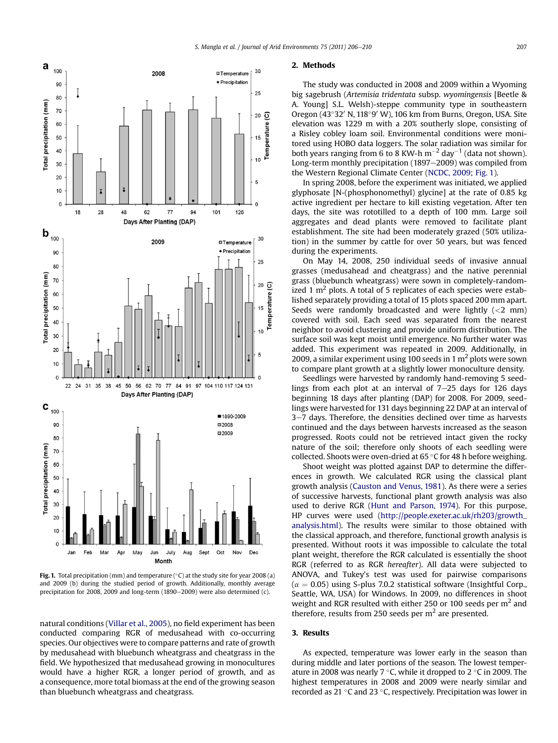<span id="page-1-0"></span>

**Fig. 1.** Total precipitation (mm) and temperature (°C) at the study site for year 2008 (a) and 2009 (b) during the studied period of growth. Additionally, monthly average precipitation for 2008, 2009 and long-term (1890 $-$ 2009) were also determined (c).

natural conditions ([Villar et al., 2005](#page-4-0)), no field experiment has been conducted comparing RGR of medusahead with co-occurring species. Our objectives were to compare patterns and rate of growth by medusahead with bluebunch wheatgrass and cheatgrass in the field. We hypothesized that medusahead growing in monocultures would have a higher RGR, a longer period of growth, and as a consequence, more total biomass at the end of the growing season than bluebunch wheatgrass and cheatgrass.

### 2. Methods

The study was conducted in 2008 and 2009 within a Wyoming big sagebrush (Artemisia tridentata subsp. wyomingensis [Beetle & A. Young] S.L. Welsh)-steppe community type in southeastern Oregon (43°32′ N, 118°9′ W), 106 km from Burns, Oregon, USA. Site elevation was 1229 m with a 20% southerly slope, consisting of a Risley cobley loam soil. Environmental conditions were monitored using HOBO data loggers. The solar radiation was similar for both years ranging from 6 to 8 KW-h  $m^{-2}$  day<sup>-1</sup> (data not shown). Long-term monthly precipitation (1897-2009) was compiled from the Western Regional Climate Center [\(NCDC, 2009](#page-4-0); Fig. 1).

In spring 2008, before the experiment was initiated, we applied glyphosate [N-(phosphonomethyl) glycine] at the rate of 0.85 kg active ingredient per hectare to kill existing vegetation. After ten days, the site was rototilled to a depth of 100 mm. Large soil aggregates and dead plants were removed to facilitate plant establishment. The site had been moderately grazed (50% utilization) in the summer by cattle for over 50 years, but was fenced during the experiments.

On May 14, 2008, 250 individual seeds of invasive annual grasses (medusahead and cheatgrass) and the native perennial grass (bluebunch wheatgrass) were sown in completely-randomized 1  $m<sup>2</sup>$  plots. A total of 5 replicates of each species were established separately providing a total of 15 plots spaced 200 mm apart. Seeds were randomly broadcasted and were lightly (<2 mm) covered with soil. Each seed was separated from the nearest neighbor to avoid clustering and provide uniform distribution. The surface soil was kept moist until emergence. No further water was added. This experiment was repeated in 2009. Additionally, in 2009, a similar experiment using 100 seeds in 1  $m<sup>2</sup>$  plots were sown to compare plant growth at a slightly lower monoculture density.

Seedlings were harvested by randomly hand-removing 5 seedlings from each plot at an interval of  $7-25$  days for 126 days beginning 18 days after planting (DAP) for 2008. For 2009, seedlings were harvested for 131 days beginning 22 DAP at an interval of 3–7 days. Therefore, the densities declined over time as harvests continued and the days between harvests increased as the season progressed. Roots could not be retrieved intact given the rocky nature of the soil; therefore only shoots of each seedling were collected. Shoots were oven-dried at  $65^{\circ}$ C for 48 h before weighing.

Shoot weight was plotted against DAP to determine the differences in growth. We calculated RGR using the classical plant growth analysis ([Causton and Venus, 1981\)](#page-4-0). As there were a series of successive harvests, functional plant growth analysis was also used to derive RGR [\(Hunt and Parson, 1974](#page-4-0)). For this purpose, HP curves were used [\(http://people.exeter.ac.uk/rh203/growth\\_](http://people.exeter.ac.uk/rh203/growth_analysis.html) [analysis.html](http://people.exeter.ac.uk/rh203/growth_analysis.html)). The results were similar to those obtained with the classical approach, and therefore, functional growth analysis is presented. Without roots it was impossible to calculate the total plant weight, therefore the RGR calculated is essentially the shoot RGR (referred to as RGR hereafter). All data were subjected to ANOVA, and Tukey's test was used for pairwise comparisons  $(\alpha = 0.05)$  using S-plus 7.0.2 statistical software (Insightful Corp., Seattle, WA, USA) for Windows. In 2009, no differences in shoot weight and RGR resulted with either 250 or 100 seeds per  $m<sup>2</sup>$  and therefore, results from 250 seeds per  $m<sup>2</sup>$  are presented.

## 3. Results

As expected, temperature was lower early in the season than during middle and later portions of the season. The lowest temperature in 2008 was nearly 7  $\degree$ C, while it dropped to 2  $\degree$ C in 2009. The highest temperatures in 2008 and 2009 were nearly similar and recorded as 21 °C and 23 °C, respectively. Precipitation was lower in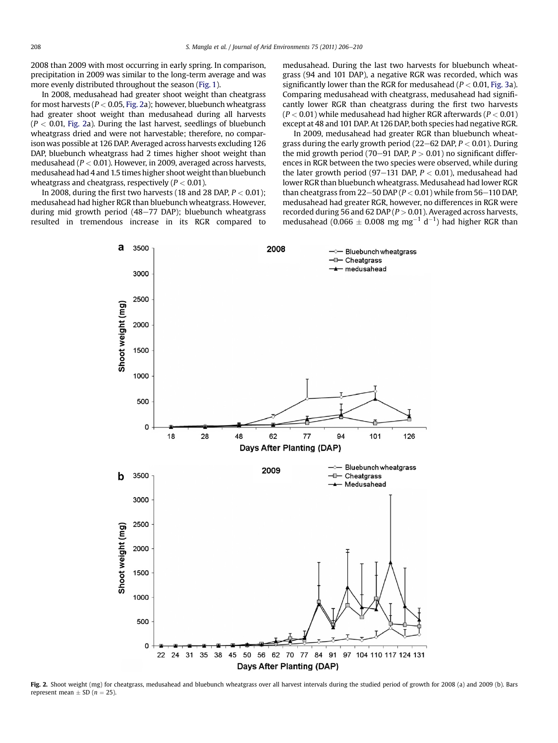2008 than 2009 with most occurring in early spring. In comparison, precipitation in 2009 was similar to the long-term average and was more evenly distributed throughout the season [\(Fig. 1](#page-1-0)).

In 2008, medusahead had greater shoot weight than cheatgrass for most harvests ( $P < 0.05$ , Fig. 2a); however, bluebunch wheatgrass had greater shoot weight than medusahead during all harvests  $(P < 0.01$ , Fig. 2a). During the last harvest, seedlings of bluebunch wheatgrass dried and were not harvestable; therefore, no comparison was possible at 126 DAP. Averaged across harvests excluding 126 DAP, bluebunch wheatgrass had 2 times higher shoot weight than medusahead ( $P < 0.01$ ). However, in 2009, averaged across harvests, medusahead had 4 and 1.5 times higher shoot weight than bluebunch wheatgrass and cheatgrass, respectively ( $P < 0.01$ ).

In 2008, during the first two harvests (18 and 28 DAP,  $P < 0.01$ ); medusahead had higher RGR than bluebunch wheatgrass. However, during mid growth period  $(48-77)$  DAP); bluebunch wheatgrass resulted in tremendous increase in its RGR compared to medusahead. During the last two harvests for bluebunch wheatgrass (94 and 101 DAP), a negative RGR was recorded, which was significantly lower than the RGR for medusahead ( $P < 0.01$ , [Fig. 3a](#page-3-0)). Comparing medusahead with cheatgrass, medusahead had significantly lower RGR than cheatgrass during the first two harvests  $(P < 0.01)$  while medusahead had higher RGR afterwards ( $P < 0.01$ ) except at 48 and 101 DAP. At 126 DAP, both species had negative RGR.

In 2009, medusahead had greater RGR than bluebunch wheatgrass during the early growth period (22–62 DAP,  $P < 0.01$ ). During the mid growth period (70–91 DAP,  $P > 0.01$ ) no significant differences in RGR between the two species were observed, while during the later growth period (97–131 DAP,  $P < 0.01$ ), medusahead had lower RGR than bluebunch wheatgrass. Medusahead had lower RGR than cheatgrass from 22–50 DAP ( $P < 0.01$ ) while from 56–110 DAP, medusahead had greater RGR, however, no differences in RGR were recorded during 56 and 62 DAP ( $P > 0.01$ ). Averaged across harvests, medusahead (0.066  $\pm$  0.008 mg mg<sup>-1</sup> d<sup>-1</sup>) had higher RGR than



Fig. 2. Shoot weight (mg) for cheatgrass, medusahead and bluebunch wheatgrass over all harvest intervals during the studied period of growth for 2008 (a) and 2009 (b). Bars represent mean  $\pm$  SD ( $n = 25$ ).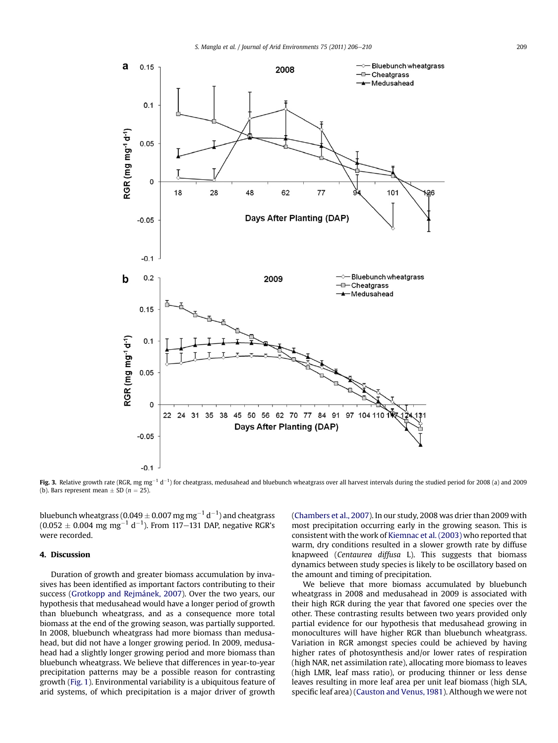<span id="page-3-0"></span>

Fig. 3. Relative growth rate (RGR, mg mg<sup>-1</sup> d<sup>-1</sup>) for cheatgrass, medusahead and bluebunch wheatgrass over all harvest intervals during the studied period for 2008 (a) and 2009 (b). Bars represent mean  $\pm$  SD (n = 25).

bluebunch wheatgrass (0.049  $\pm$  0.007 mg mg $^{-1}$  d $^{-1}$ ) and cheatgrass  $(0.052 \pm 0.004 \text{ mg mg}^{-1} \text{ d}^{-1})$ . From 117–131 DAP, negative RGR's were recorded.

# 4. Discussion

Duration of growth and greater biomass accumulation by invasives has been identified as important factors contributing to their success [\(Grotkopp and Rejmánek, 2007](#page-4-0)). Over the two years, our hypothesis that medusahead would have a longer period of growth than bluebunch wheatgrass, and as a consequence more total biomass at the end of the growing season, was partially supported. In 2008, bluebunch wheatgrass had more biomass than medusahead, but did not have a longer growing period. In 2009, medusahead had a slightly longer growing period and more biomass than bluebunch wheatgrass. We believe that differences in year-to-year precipitation patterns may be a possible reason for contrasting growth [\(Fig. 1\)](#page-1-0). Environmental variability is a ubiquitous feature of arid systems, of which precipitation is a major driver of growth ([Chambers et al., 2007](#page-4-0)). In our study, 2008 was drier than 2009 with most precipitation occurring early in the growing season. This is consistent with the work of [Kiemnac et al. \(2003\)](#page-4-0) who reported that warm, dry conditions resulted in a slower growth rate by diffuse knapweed (Centaurea diffusa L). This suggests that biomass dynamics between study species is likely to be oscillatory based on the amount and timing of precipitation.

We believe that more biomass accumulated by bluebunch wheatgrass in 2008 and medusahead in 2009 is associated with their high RGR during the year that favored one species over the other. These contrasting results between two years provided only partial evidence for our hypothesis that medusahead growing in monocultures will have higher RGR than bluebunch wheatgrass. Variation in RGR amongst species could be achieved by having higher rates of photosynthesis and/or lower rates of respiration (high NAR, net assimilation rate), allocating more biomass to leaves (high LMR, leaf mass ratio), or producing thinner or less dense leaves resulting in more leaf area per unit leaf biomass (high SLA, specific leaf area) ([Causton and Venus, 1981](#page-4-0)). Although we were not